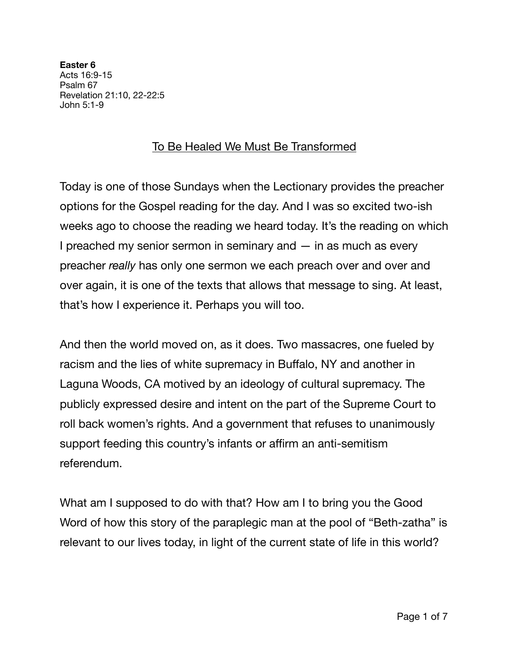**Easter 6**  Acts 16:9-15 Psalm 67 Revelation 21:10, 22-22:5 John 5:1-9

## To Be Healed We Must Be Transformed

Today is one of those Sundays when the Lectionary provides the preacher options for the Gospel reading for the day. And I was so excited two-ish weeks ago to choose the reading we heard today. It's the reading on which I preached my senior sermon in seminary and  $-$  in as much as every preacher *really* has only one sermon we each preach over and over and over again, it is one of the texts that allows that message to sing. At least, that's how I experience it. Perhaps you will too.

And then the world moved on, as it does. Two massacres, one fueled by racism and the lies of white supremacy in Buffalo, NY and another in Laguna Woods, CA motived by an ideology of cultural supremacy. The publicly expressed desire and intent on the part of the Supreme Court to roll back women's rights. And a government that refuses to unanimously support feeding this country's infants or affirm an anti-semitism referendum.

What am I supposed to do with that? How am I to bring you the Good Word of how this story of the paraplegic man at the pool of "Beth-zatha" is relevant to our lives today, in light of the current state of life in this world?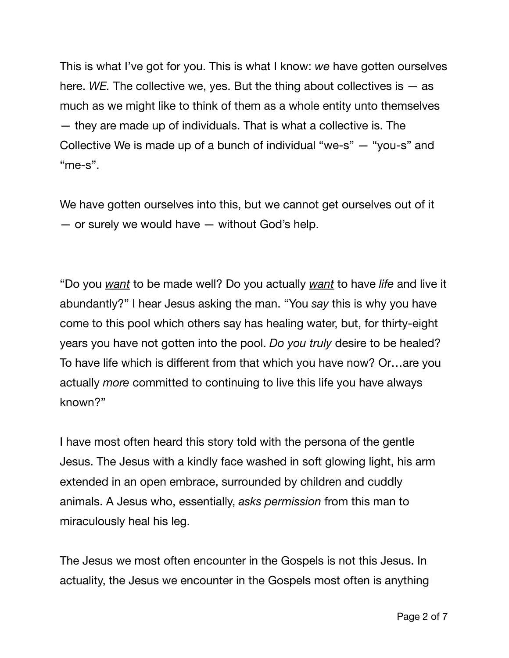This is what I've got for you. This is what I know: *we* have gotten ourselves here. *WE.* The collective we, yes. But the thing about collectives is — as much as we might like to think of them as a whole entity unto themselves — they are made up of individuals. That is what a collective is. The Collective We is made up of a bunch of individual "we-s" — "you-s" and "me-s".

We have gotten ourselves into this, but we cannot get ourselves out of it — or surely we would have — without God's help.

"Do you *want* to be made well? Do you actually *want* to have *life* and live it abundantly?" I hear Jesus asking the man. "You *say* this is why you have come to this pool which others say has healing water, but, for thirty-eight years you have not gotten into the pool. *Do you truly* desire to be healed? To have life which is different from that which you have now? Or…are you actually *more* committed to continuing to live this life you have always known?"

I have most often heard this story told with the persona of the gentle Jesus. The Jesus with a kindly face washed in soft glowing light, his arm extended in an open embrace, surrounded by children and cuddly animals. A Jesus who, essentially, *asks permission* from this man to miraculously heal his leg.

The Jesus we most often encounter in the Gospels is not this Jesus. In actuality, the Jesus we encounter in the Gospels most often is anything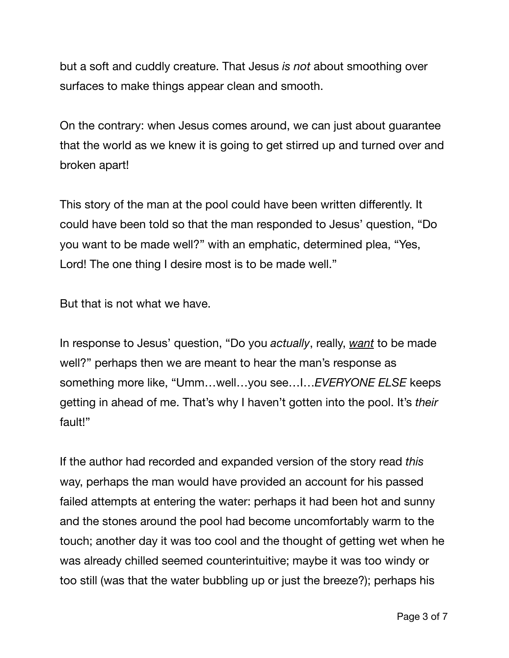but a soft and cuddly creature. That Jesus *is not* about smoothing over surfaces to make things appear clean and smooth.

On the contrary: when Jesus comes around, we can just about guarantee that the world as we knew it is going to get stirred up and turned over and broken apart!

This story of the man at the pool could have been written differently. It could have been told so that the man responded to Jesus' question, "Do you want to be made well?" with an emphatic, determined plea, "Yes, Lord! The one thing I desire most is to be made well."

But that is not what we have.

In response to Jesus' question, "Do you *actually*, really, *want* to be made well?" perhaps then we are meant to hear the man's response as something more like, "Umm…well…you see…I…*EVERYONE ELSE* keeps getting in ahead of me. That's why I haven't gotten into the pool. It's *their* fault!"

If the author had recorded and expanded version of the story read *this* way, perhaps the man would have provided an account for his passed failed attempts at entering the water: perhaps it had been hot and sunny and the stones around the pool had become uncomfortably warm to the touch; another day it was too cool and the thought of getting wet when he was already chilled seemed counterintuitive; maybe it was too windy or too still (was that the water bubbling up or just the breeze?); perhaps his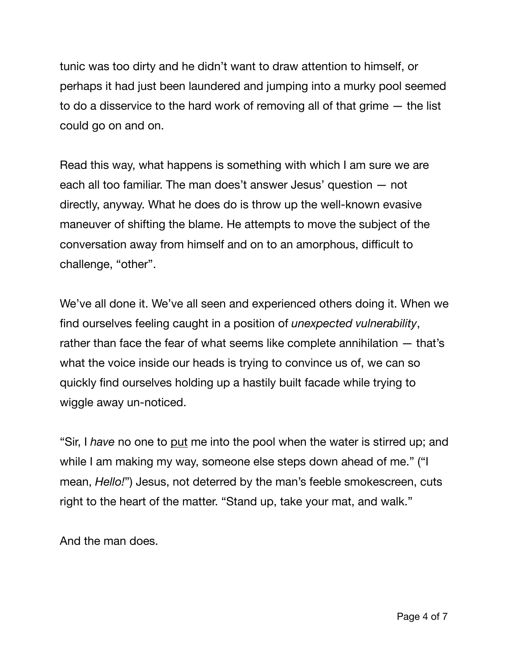tunic was too dirty and he didn't want to draw attention to himself, or perhaps it had just been laundered and jumping into a murky pool seemed to do a disservice to the hard work of removing all of that grime — the list could go on and on.

Read this way, what happens is something with which I am sure we are each all too familiar. The man does't answer Jesus' question — not directly, anyway. What he does do is throw up the well-known evasive maneuver of shifting the blame. He attempts to move the subject of the conversation away from himself and on to an amorphous, difficult to challenge, "other".

We've all done it. We've all seen and experienced others doing it. When we find ourselves feeling caught in a position of *unexpected vulnerability*, rather than face the fear of what seems like complete annihilation — that's what the voice inside our heads is trying to convince us of, we can so quickly find ourselves holding up a hastily built facade while trying to wiggle away un-noticed.

"Sir, I *have* no one to put me into the pool when the water is stirred up; and while I am making my way, someone else steps down ahead of me." ("I mean, *Hello!*") Jesus, not deterred by the man's feeble smokescreen, cuts right to the heart of the matter. "Stand up, take your mat, and walk."

And the man does.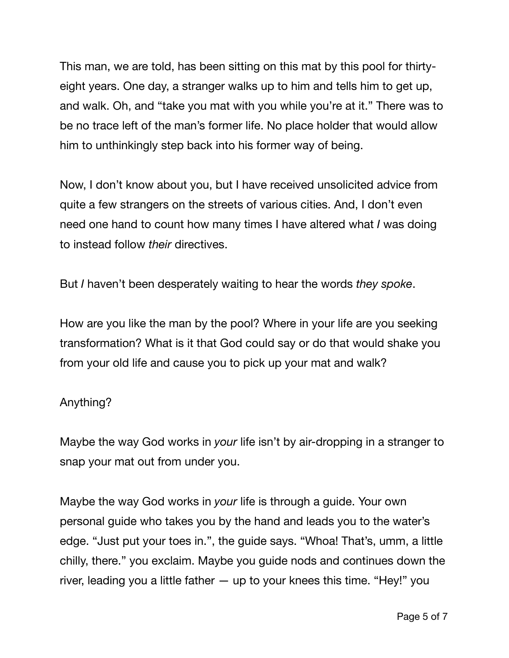This man, we are told, has been sitting on this mat by this pool for thirtyeight years. One day, a stranger walks up to him and tells him to get up, and walk. Oh, and "take you mat with you while you're at it." There was to be no trace left of the man's former life. No place holder that would allow him to unthinkingly step back into his former way of being.

Now, I don't know about you, but I have received unsolicited advice from quite a few strangers on the streets of various cities. And, I don't even need one hand to count how many times I have altered what *I* was doing to instead follow *their* directives.

But *I* haven't been desperately waiting to hear the words *they spoke*.

How are you like the man by the pool? Where in your life are you seeking transformation? What is it that God could say or do that would shake you from your old life and cause you to pick up your mat and walk?

## Anything?

Maybe the way God works in *your* life isn't by air-dropping in a stranger to snap your mat out from under you.

Maybe the way God works in *your* life is through a guide. Your own personal guide who takes you by the hand and leads you to the water's edge. "Just put your toes in.", the guide says. "Whoa! That's, umm, a little chilly, there." you exclaim. Maybe you guide nods and continues down the river, leading you a little father — up to your knees this time. "Hey!" you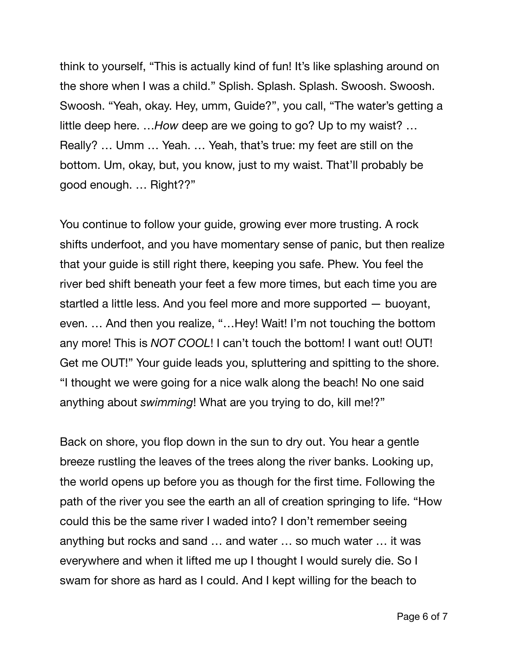think to yourself, "This is actually kind of fun! It's like splashing around on the shore when I was a child." Splish. Splash. Splash. Swoosh. Swoosh. Swoosh. "Yeah, okay. Hey, umm, Guide?", you call, "The water's getting a little deep here. …*How* deep are we going to go? Up to my waist? … Really? … Umm … Yeah. … Yeah, that's true: my feet are still on the bottom. Um, okay, but, you know, just to my waist. That'll probably be good enough. … Right??"

You continue to follow your guide, growing ever more trusting. A rock shifts underfoot, and you have momentary sense of panic, but then realize that your guide is still right there, keeping you safe. Phew. You feel the river bed shift beneath your feet a few more times, but each time you are startled a little less. And you feel more and more supported — buoyant, even. … And then you realize, "…Hey! Wait! I'm not touching the bottom any more! This is *NOT COOL*! I can't touch the bottom! I want out! OUT! Get me OUT!" Your guide leads you, spluttering and spitting to the shore. "I thought we were going for a nice walk along the beach! No one said anything about *swimming*! What are you trying to do, kill me!?"

Back on shore, you flop down in the sun to dry out. You hear a gentle breeze rustling the leaves of the trees along the river banks. Looking up, the world opens up before you as though for the first time. Following the path of the river you see the earth an all of creation springing to life. "How could this be the same river I waded into? I don't remember seeing anything but rocks and sand … and water … so much water … it was everywhere and when it lifted me up I thought I would surely die. So I swam for shore as hard as I could. And I kept willing for the beach to